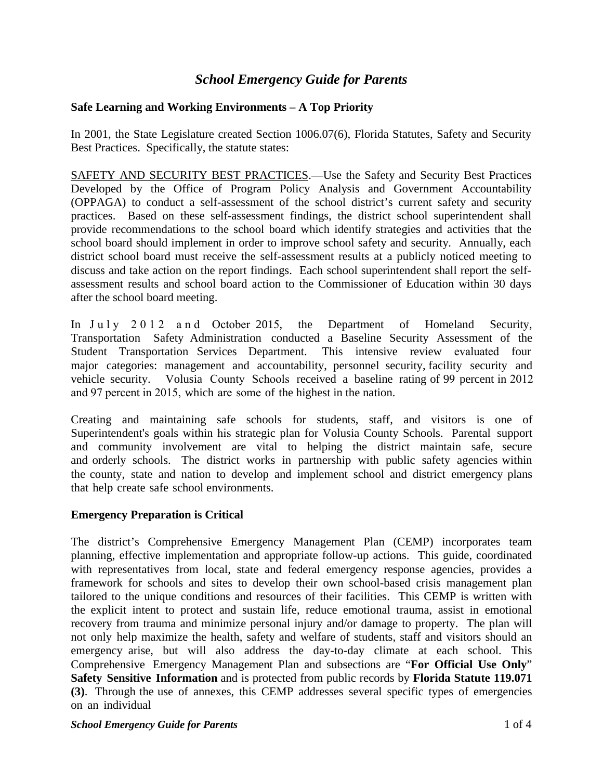# *School Emergency Guide for Parents*

# **Safe Learning and Working Environments – A Top Priority**

In 2001, the State Legislature created Section 1006.07(6), Florida Statutes, Safety and Security Best Practices. Specifically, the statute states:

SAFETY AND SECURITY BEST PRACTICES.—Use the Safety and Security Best Practices Developed by the Office of Program Policy Analysis and Government Accountability (OPPAGA) to conduct a self-assessment of the school district's current safety and security practices. Based on these self-assessment findings, the district school superintendent shall provide recommendations to the school board which identify strategies and activities that the school board should implement in order to improve school safety and security. Annually, each district school board must receive the self-assessment results at a publicly noticed meeting to discuss and take action on the report findings. Each school superintendent shall report the selfassessment results and school board action to the Commissioner of Education within 30 days after the school board meeting.

In July 2012 and October 2015, the Department of Homeland Security, Transportation Safety Administration conducted a Baseline Security Assessment of the Student Transportation Services Department. This intensive review evaluated four major categories: management and accountability, personnel security, facility security and vehicle security. Volusia County Schools received a baseline rating of 99 percent in 2012 and 97 percent in 2015, which are some of the highest in the nation.

Creating and maintaining safe schools for students, staff, and visitors is one of Superintendent's goals within his strategic plan for Volusia County Schools. Parental support and community involvement are vital to helping the district maintain safe, secure and orderly schools. The district works in partnership with public safety agencies within the county, state and nation to develop and implement school and district emergency plans that help create safe school environments.

#### **Emergency Preparation is Critical**

The district's Comprehensive Emergency Management Plan (CEMP) incorporates team planning, effective implementation and appropriate follow-up actions. This guide, coordinated with representatives from local, state and federal emergency response agencies, provides a framework for schools and sites to develop their own school-based crisis management plan tailored to the unique conditions and resources of their facilities. This CEMP is written with the explicit intent to protect and sustain life, reduce emotional trauma, assist in emotional recovery from trauma and minimize personal injury and/or damage to property. The plan will not only help maximize the health, safety and welfare of students, staff and visitors should an emergency arise, but will also address the day-to-day climate at each school. This Comprehensive Emergency Management Plan and subsections are "**For Official Use Only**" **Safety Sensitive Information** and is protected from public records by **Florida Statute 119.071 (3)**. Through the use of annexes, this CEMP addresses several specific types of emergencies on an individual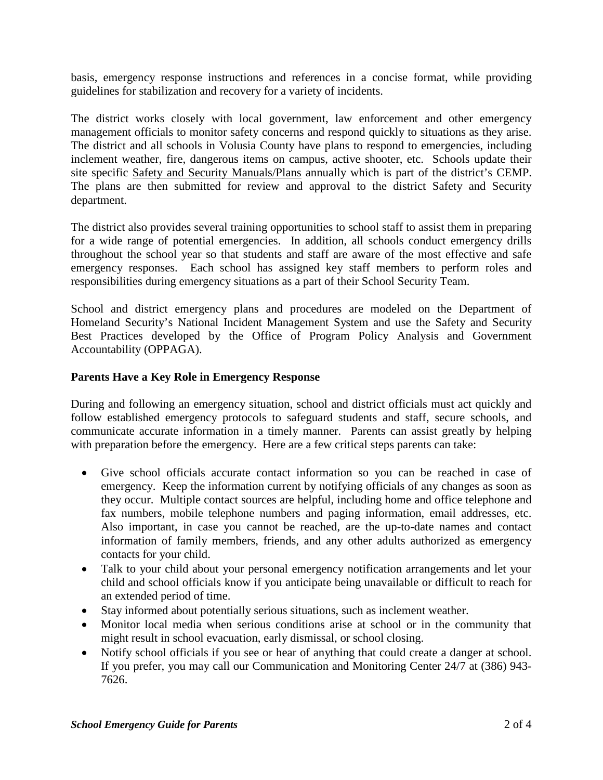basis, emergency response instructions and references in a concise format, while providing guidelines for stabilization and recovery for a variety of incidents.

The district works closely with local government, law enforcement and other emergency management officials to monitor safety concerns and respond quickly to situations as they arise. The district and all schools in Volusia County have plans to respond to emergencies, including inclement weather, fire, dangerous items on campus, active shooter, etc. Schools update their site specific Safety and Security Manuals/Plans annually which is part of the district's CEMP. The plans are then submitted for review and approval to the district Safety and Security department.

The district also provides several training opportunities to school staff to assist them in preparing for a wide range of potential emergencies. In addition, all schools conduct emergency drills throughout the school year so that students and staff are aware of the most effective and safe emergency responses. Each school has assigned key staff members to perform roles and responsibilities during emergency situations as a part of their School Security Team.

School and district emergency plans and procedures are modeled on the Department of Homeland Security's National Incident Management System and use the Safety and Security Best Practices developed by the Office of Program Policy Analysis and Government Accountability (OPPAGA).

# **Parents Have a Key Role in Emergency Response**

During and following an emergency situation, school and district officials must act quickly and follow established emergency protocols to safeguard students and staff, secure schools, and communicate accurate information in a timely manner. Parents can assist greatly by helping with preparation before the emergency. Here are a few critical steps parents can take:

- Give school officials accurate contact information so you can be reached in case of emergency. Keep the information current by notifying officials of any changes as soon as they occur. Multiple contact sources are helpful, including home and office telephone and fax numbers, mobile telephone numbers and paging information, email addresses, etc. Also important, in case you cannot be reached, are the up-to-date names and contact information of family members, friends, and any other adults authorized as emergency contacts for your child.
- Talk to your child about your personal emergency notification arrangements and let your child and school officials know if you anticipate being unavailable or difficult to reach for an extended period of time.
- Stay informed about potentially serious situations, such as inclement weather.
- Monitor local media when serious conditions arise at school or in the community that might result in school evacuation, early dismissal, or school closing.
- Notify school officials if you see or hear of anything that could create a danger at school. If you prefer, you may call our Communication and Monitoring Center 24/7 at (386) 943- 7626.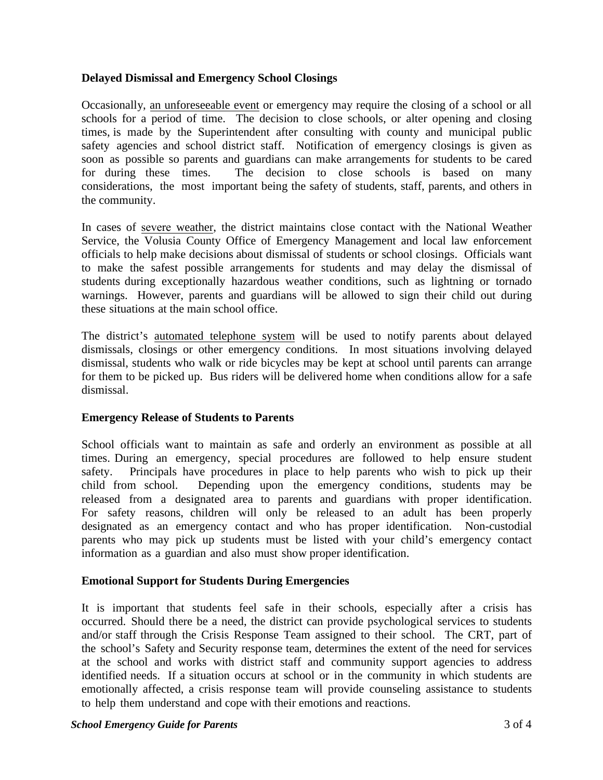# **Delayed Dismissal and Emergency School Closings**

Occasionally, an unforeseeable event or emergency may require the closing of a school or all schools for a period of time. The decision to close schools, or alter opening and closing times, is made by the Superintendent after consulting with county and municipal public safety agencies and school district staff. Notification of emergency closings is given as soon as possible so parents and guardians can make arrangements for students to be cared for during these times. The decision to close schools is based on many considerations, the most important being the safety of students, staff, parents, and others in the community.

In cases of severe weather, the district maintains close contact with the National Weather Service, the Volusia County Office of Emergency Management and local law enforcement officials to help make decisions about dismissal of students or school closings. Officials want to make the safest possible arrangements for students and may delay the dismissal of students during exceptionally hazardous weather conditions, such as lightning or tornado warnings. However, parents and guardians will be allowed to sign their child out during these situations at the main school office.

The district's automated telephone system will be used to notify parents about delayed dismissals, closings or other emergency conditions. In most situations involving delayed dismissal, students who walk or ride bicycles may be kept at school until parents can arrange for them to be picked up. Bus riders will be delivered home when conditions allow for a safe dismissal.

#### **Emergency Release of Students to Parents**

School officials want to maintain as safe and orderly an environment as possible at all times. During an emergency, special procedures are followed to help ensure student safety. Principals have procedures in place to help parents who wish to pick up their child from school. Depending upon the emergency conditions, students may be released from a designated area to parents and guardians with proper identification. For safety reasons, children will only be released to an adult has been properly designated as an emergency contact and who has proper identification. Non-custodial parents who may pick up students must be listed with your child's emergency contact information as a guardian and also must show proper identification.

#### **Emotional Support for Students During Emergencies**

It is important that students feel safe in their schools, especially after a crisis has occurred. Should there be a need, the district can provide psychological services to students and/or staff through the Crisis Response Team assigned to their school. The CRT, part of the school's Safety and Security response team, determines the extent of the need for services at the school and works with district staff and community support agencies to address identified needs. If a situation occurs at school or in the community in which students are emotionally affected, a crisis response team will provide counseling assistance to students to help them understand and cope with their emotions and reactions.